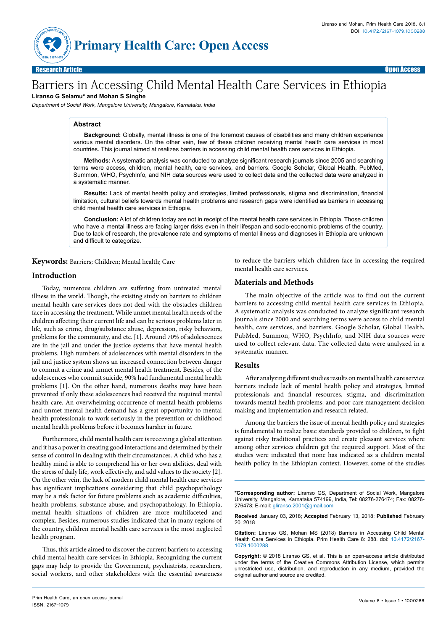

# Barriers in Accessing Child Mental Health Care Services in Ethiopia

**Liranso G Selamu\* and Mohan S Singhe**

*Department of Social Work, Mangalore University, Mangalore, Karnataka, India*

## **Abstract**

**Background:** Globally, mental illness is one of the foremost causes of disabilities and many children experience various mental disorders. On the other vein, few of these children receiving mental health care services in most countries. This journal aimed at realizes barriers in accessing child mental health care services in Ethiopia.

**Methods:** A systematic analysis was conducted to analyze significant research journals since 2005 and searching terms were access, children, mental health, care services, and barriers. Google Scholar, Global Health, PubMed, Summon, WHO, PsychInfo, and NIH data sources were used to collect data and the collected data were analyzed in a systematic manner.

**Results:** Lack of mental health policy and strategies, limited professionals, stigma and discrimination, financial limitation, cultural beliefs towards mental health problems and research gaps were identified as barriers in accessing child mental health care services in Ethiopia.

**Conclusion:** A lot of children today are not in receipt of the mental health care services in Ethiopia. Those children who have a mental illness are facing larger risks even in their lifespan and socio-economic problems of the country. Due to lack of research, the prevalence rate and symptoms of mental illness and diagnoses in Ethiopia are unknown and difficult to categorize.

**Keywords:** Barriers; Children; Mental health; Care

### **Introduction**

Today, numerous children are suffering from untreated mental illness in the world. Though, the existing study on barriers to children mental health care services does not deal with the obstacles children face in accessing the treatment. While unmet mental health needs of the children affecting their current life and can be serious problems later in life, such as crime, drug/substance abuse, depression, risky behaviors, problems for the community, and etc. [1]. Around 70% of adolescences are in the jail and under the justice systems that have mental health problems. High numbers of adolescences with mental disorders in the jail and justice system shows an increased connection between danger to commit a crime and unmet mental health treatment. Besides, of the adolescences who commit suicide, 90% had fundamental mental health problems [1]. On the other hand, numerous deaths may have been prevented if only these adolescences had received the required mental health care. An overwhelming occurrence of mental health problems and unmet mental health demand has a great opportunity to mental health professionals to work seriously in the prevention of childhood mental health problems before it becomes harsher in future.

Furthermore, child mental health care is receiving a global attention and it has a power in creating good interactions and determined by their sense of control in dealing with their circumstances. A child who has a healthy mind is able to comprehend his or her own abilities, deal with the stress of daily life, work effectively, and add values to the society [2]. On the other vein, the lack of modern child mental health care services has significant implications considering that child psychopathology may be a risk factor for future problems such as academic difficulties, health problems, substance abuse, and psychopathology. In Ethiopia, mental health situations of children are more multifaceted and complex. Besides, numerous studies indicated that in many regions of the country, children mental health care services is the most neglected health program.

Thus, this article aimed to discover the current barriers to accessing child mental health care services in Ethiopia. Recognizing the current gaps may help to provide the Government, psychiatrists, researchers, social workers, and other stakeholders with the essential awareness to reduce the barriers which children face in accessing the required mental health care services.

### **Materials and Methods**

The main objective of the article was to find out the current barriers to accessing child mental health care services in Ethiopia. A systematic analysis was conducted to analyze significant research journals since 2000 and searching terms were access to child mental health, care services, and barriers. Google Scholar, Global Health, PubMed, Summon, WHO, PsychInfo, and NIH data sources were used to collect relevant data. The collected data were analyzed in a systematic manner.

### **Results**

After analyzing different studies results on mental health care service barriers include lack of mental health policy and strategies, limited professionals and financial resources, stigma, and discrimination towards mental health problems, and poor care management decision making and implementation and research related.

Among the barriers the issue of mental health policy and strategies is fundamental to realize basic standards provided to children, to fight against risky traditional practices and create pleasant services where among other services children get the required support. Most of the studies were indicated that none has indicated as a children mental health policy in the Ethiopian context. However, some of the studies

**\*Corresponding author:** Liranso GS, Department of Social Work, Mangalore University, Mangalore, Karnataka 574199, India, Tel: 08276-276474; Fax: 08276- 276478; E-mail: gliranso.2001@gmail.com

**Received** January 03, 2018; **Accepted** February 13, 2018; **Published** February 20, 2018

**Citation:** Liranso GS, Mohan MS (2018) Barriers in Accessing Child Mental Health Care Services in Ethiopia. Prim Health Care 8: 288. doi: 10.4172/2167- 1079.1000288

**Copyright:** © 2018 Liranso GS, et al. This is an open-access article distributed under the terms of the Creative Commons Attribution License, which permits unrestricted use, distribution, and reproduction in any medium, provided the original author and source are credited.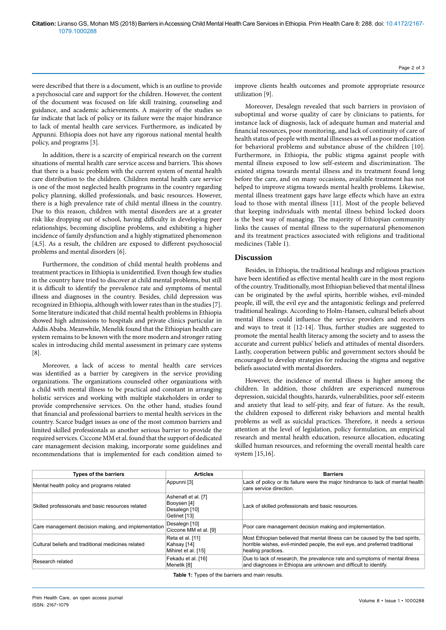were described that there is a document, which is an outline to provide a psychosocial care and support for the children. However, the content of the document was focused on life skill training, counseling and guidance, and academic achievements. A majority of the studies so far indicate that lack of policy or its failure were the major hindrance to lack of mental health care services. Furthermore, as indicated by Appunni. Ethiopia does not have any rigorous national mental health policy, and programs [3].

In addition, there is a scarcity of empirical research on the current situations of mental health care service access and barriers. This shows that there is a basic problem with the current system of mental health care distribution to the children. Children mental health care service is one of the most neglected health programs in the country regarding policy planning, skilled professionals, and basic resources. However, there is a high prevalence rate of child mental illness in the country. Due to this reason, children with mental disorders are at a greater risk like dropping out of school, having difficulty in developing peer relationships, becoming discipline problems, and exhibiting a higher incidence of family dysfunction and a highly stigmatized phenomenon [4,5]. As a result, the children are exposed to different psychosocial problems and mental disorders [6].

Furthermore, the condition of child mental health problems and treatment practices in Ethiopia is unidentified. Even though few studies in the country have tried to discover at child mental problems, but still it is difficult to identify the prevalence rate and symptoms of mental illness and diagnoses in the country. Besides, child depression was recognized in Ethiopia, although with lower rates than in the studies [7]. Some literature indicated that child mental health problems in Ethiopia showed high admissions to hospitals and private clinics particular in Addis Ababa. Meanwhile, Menelik found that the Ethiopian health care system remains to be known with the more modern and stronger rating scales in introducing child mental assessment in primary care systems [8].

Moreover, a lack of access to mental health care services was identified as a barrier by caregivers in the service providing organizations. The organizations counseled other organizations with a child with mental illness to be practical and constant in arranging holistic services and working with multiple stakeholders in order to provide comprehensive services. On the other hand, studies found that financial and professional barriers to mental health services in the country. Scarce budget issues as one of the most common barriers and limited skilled professionals as another serious barrier to provide the required services. Ciccone MM et al. found that the support of dedicated care management decision making, incorporate some guidelines and recommendations that is implemented for each condition aimed to

improve clients health outcomes and promote appropriate resource utilization [9].

Moreover, Desalegn revealed that such barriers in provision of suboptimal and worse quality of care by clinicians to patients, for instance lack of diagnosis, lack of adequate human and material and financial resources, poor monitoring, and lack of continuity of care of health status of people with mental illnesses as well as poor medication for behavioral problems and substance abuse of the children [10]. Furthermore, in Ethiopia, the public stigma against people with mental illness exposed to low self-esteem and discrimination. The existed stigma towards mental illness and its treatment found long before the care, and on many occasions, available treatment has not helped to improve stigma towards mental health problems. Likewise, mental illness treatment gaps have large effects which have an extra load to those with mental illness [11]. Most of the people believed that keeping individuals with mental illness behind locked doors is the best way of managing. The majority of Ethiopian community links the causes of mental illness to the supernatural phenomenon and its treatment practices associated with religions and traditional medicines (Table 1).

#### **Discussion**

Besides, in Ethiopia, the traditional healings and religious practices have been identified as effective mental health care in the most regions of the country. Traditionally, most Ethiopian believed that mental illness can be originated by the awful spirits, horrible wishes, evil-minded people, ill will, the evil eye and the antagonistic feelings and preferred traditional healings. According to Holm-Hansen, cultural beliefs about mental illness could influence the service providers and receivers and ways to treat it [12-14]. Thus, further studies are suggested to promote the mental health literacy among the society and to assess the accurate and current publics' beliefs and attitudes of mental disorders. Lastly, cooperation between public and government sectors should be encouraged to develop strategies for reducing the stigma and negative beliefs associated with mental disorders.

However, the incidence of mental illness is higher among the children. In addition, those children are experienced numerous depression, suicidal thoughts, hazards, vulnerabilities, poor self-esteem and anxiety that lead to self-pity, and fear of future. As the result, the children exposed to different risky behaviors and mental health problems as well as suicidal practices. Therefore, it needs a serious attention at the level of legislation, policy formulation, an empirical research and mental health education, resource allocation, educating skilled human resources, and reforming the overall mental health care system [15,16].

| <b>Types of the barriers</b>                        | <b>Articles</b>                                                     | <b>Barriers</b>                                                                                                                                                                     |
|-----------------------------------------------------|---------------------------------------------------------------------|-------------------------------------------------------------------------------------------------------------------------------------------------------------------------------------|
| Mental health policy and programs related           | Appunni [3]                                                         | Lack of policy or its failure were the major hindrance to lack of mental health<br>care service direction.                                                                          |
| Skilled professionals and basic resources related   | Ashenafi et al. [7]<br>Booysen [4]<br>Desalegn [10]<br>Getinet [13] | Lack of skilled professionals and basic resources.                                                                                                                                  |
| Care management decision making, and implementation | Desalegn [10]<br>Ciccone MM et al. [9]                              | Poor care management decision making and implementation.                                                                                                                            |
| Cultural beliefs and traditional medicines related  | Reta et al. [11]<br>Kahsay [14]<br>Mihiret et al. [15]              | Most Ethiopian believed that mental illness can be caused by the bad spirits,<br>horrible wishes, evil-minded people, the evil eye, and preferred traditional<br>healing practices. |
| Research related                                    | Fekadu et al. [16]<br>Menelik [8]                                   | Due to lack of research, the prevalence rate and symptoms of mental illness<br>and diagnoses in Ethiopia are unknown and difficult to identify.                                     |

**Table 1:** Types of the barriers and main results.